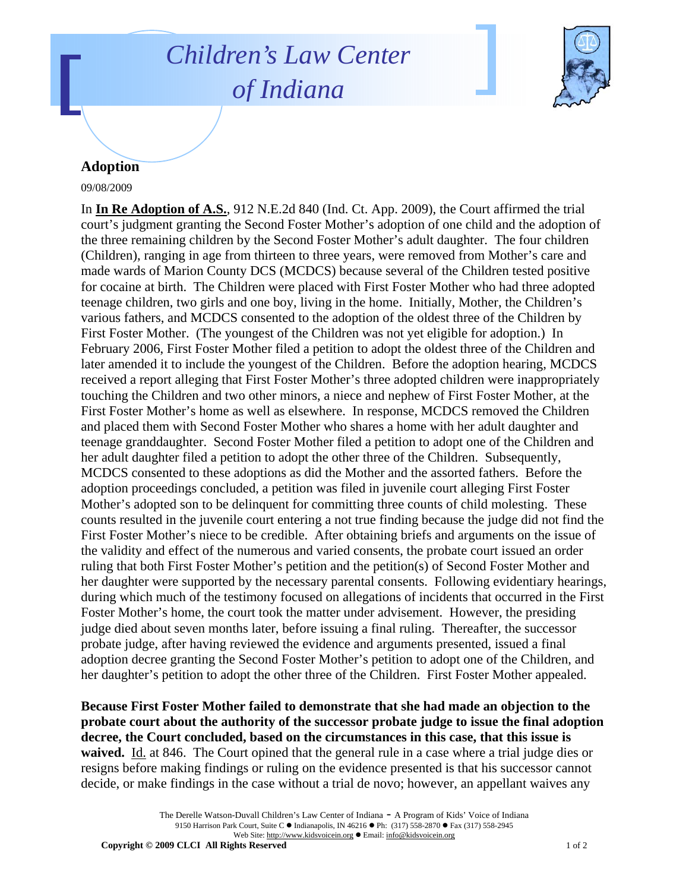## *Children's Law Center of Indiana*



## **Adoption**

09/08/2009

In **In Re Adoption of A.S.**, 912 N.E.2d 840 (Ind. Ct. App. 2009), the Court affirmed the trial court's judgment granting the Second Foster Mother's adoption of one child and the adoption of the three remaining children by the Second Foster Mother's adult daughter. The four children (Children), ranging in age from thirteen to three years, were removed from Mother's care and made wards of Marion County DCS (MCDCS) because several of the Children tested positive for cocaine at birth. The Children were placed with First Foster Mother who had three adopted teenage children, two girls and one boy, living in the home. Initially, Mother, the Children's various fathers, and MCDCS consented to the adoption of the oldest three of the Children by First Foster Mother. (The youngest of the Children was not yet eligible for adoption.) In February 2006, First Foster Mother filed a petition to adopt the oldest three of the Children and later amended it to include the youngest of the Children. Before the adoption hearing, MCDCS received a report alleging that First Foster Mother's three adopted children were inappropriately touching the Children and two other minors, a niece and nephew of First Foster Mother, at the First Foster Mother's home as well as elsewhere. In response, MCDCS removed the Children and placed them with Second Foster Mother who shares a home with her adult daughter and teenage granddaughter. Second Foster Mother filed a petition to adopt one of the Children and her adult daughter filed a petition to adopt the other three of the Children. Subsequently, MCDCS consented to these adoptions as did the Mother and the assorted fathers. Before the adoption proceedings concluded, a petition was filed in juvenile court alleging First Foster Mother's adopted son to be delinquent for committing three counts of child molesting. These counts resulted in the juvenile court entering a not true finding because the judge did not find the First Foster Mother's niece to be credible. After obtaining briefs and arguments on the issue of the validity and effect of the numerous and varied consents, the probate court issued an order ruling that both First Foster Mother's petition and the petition(s) of Second Foster Mother and her daughter were supported by the necessary parental consents. Following evidentiary hearings, during which much of the testimony focused on allegations of incidents that occurred in the First Foster Mother's home, the court took the matter under advisement. However, the presiding judge died about seven months later, before issuing a final ruling. Thereafter, the successor probate judge, after having reviewed the evidence and arguments presented, issued a final adoption decree granting the Second Foster Mother's petition to adopt one of the Children, and her daughter's petition to adopt the other three of the Children. First Foster Mother appealed.

**Because First Foster Mother failed to demonstrate that she had made an objection to the probate court about the authority of the successor probate judge to issue the final adoption decree, the Court concluded, based on the circumstances in this case, that this issue is waived.** Id. at 846. The Court opined that the general rule in a case where a trial judge dies or resigns before making findings or ruling on the evidence presented is that his successor cannot decide, or make findings in the case without a trial de novo; however, an appellant waives any

> The Derelle Watson-Duvall Children's Law Center of Indiana - A Program of Kids' Voice of Indiana 9150 Harrison Park Court, Suite C · Indianapolis, IN 46216 • Ph: (317) 558-2870 • Fax (317) 558-2945 Web Site: http://www.kidsvoicein.org · Email: info@kidsvoicein.org